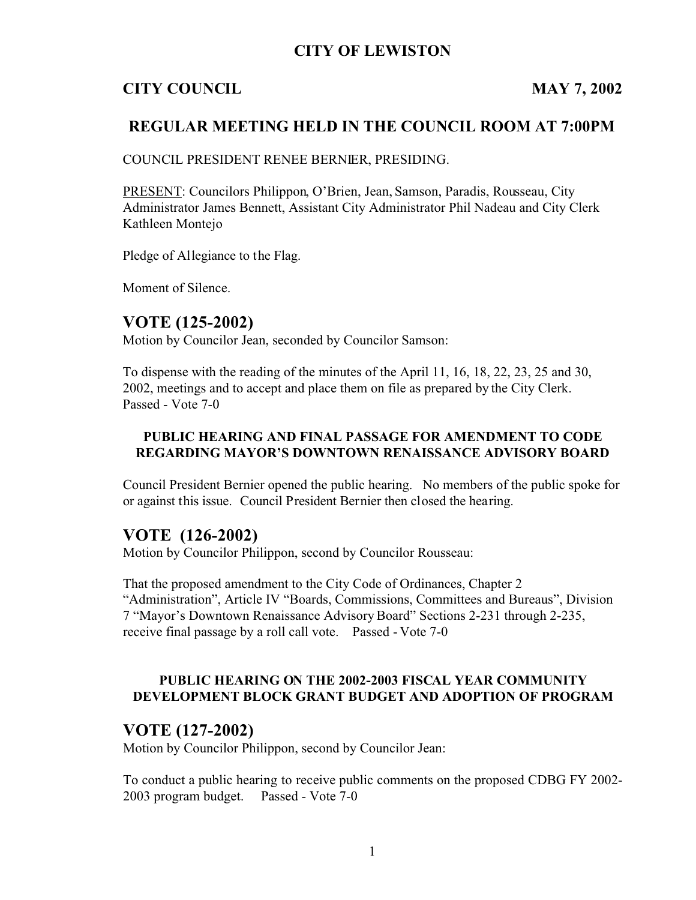## **CITY OF LEWISTON**

# **CITY COUNCIL MAY 7, 2002**

# **REGULAR MEETING HELD IN THE COUNCIL ROOM AT 7:00PM**

COUNCIL PRESIDENT RENEE BERNIER, PRESIDING.

PRESENT: Councilors Philippon, O'Brien, Jean, Samson, Paradis, Rousseau, City Administrator James Bennett, Assistant City Administrator Phil Nadeau and City Clerk Kathleen Montejo

Pledge of Allegiance to the Flag.

Moment of Silence.

# **VOTE (125-2002)**

Motion by Councilor Jean, seconded by Councilor Samson:

To dispense with the reading of the minutes of the April 11, 16, 18, 22, 23, 25 and 30, 2002, meetings and to accept and place them on file as prepared by the City Clerk. Passed - Vote 7-0

### **PUBLIC HEARING AND FINAL PASSAGE FOR AMENDMENT TO CODE REGARDING MAYOR'S DOWNTOWN RENAISSANCE ADVISORY BOARD**

Council President Bernier opened the public hearing. No members of the public spoke for or against this issue. Council President Bernier then closed the hearing.

# **VOTE (126-2002)**

Motion by Councilor Philippon, second by Councilor Rousseau:

That the proposed amendment to the City Code of Ordinances, Chapter 2 "Administration", Article IV "Boards, Commissions, Committees and Bureaus", Division 7 "Mayor's Downtown Renaissance Advisory Board" Sections 2-231 through 2-235, receive final passage by a roll call vote. Passed - Vote 7-0

### **PUBLIC HEARING ON THE 2002-2003 FISCAL YEAR COMMUNITY DEVELOPMENT BLOCK GRANT BUDGET AND ADOPTION OF PROGRAM**

## **VOTE (127-2002)**

Motion by Councilor Philippon, second by Councilor Jean:

To conduct a public hearing to receive public comments on the proposed CDBG FY 2002- 2003 program budget. Passed - Vote 7-0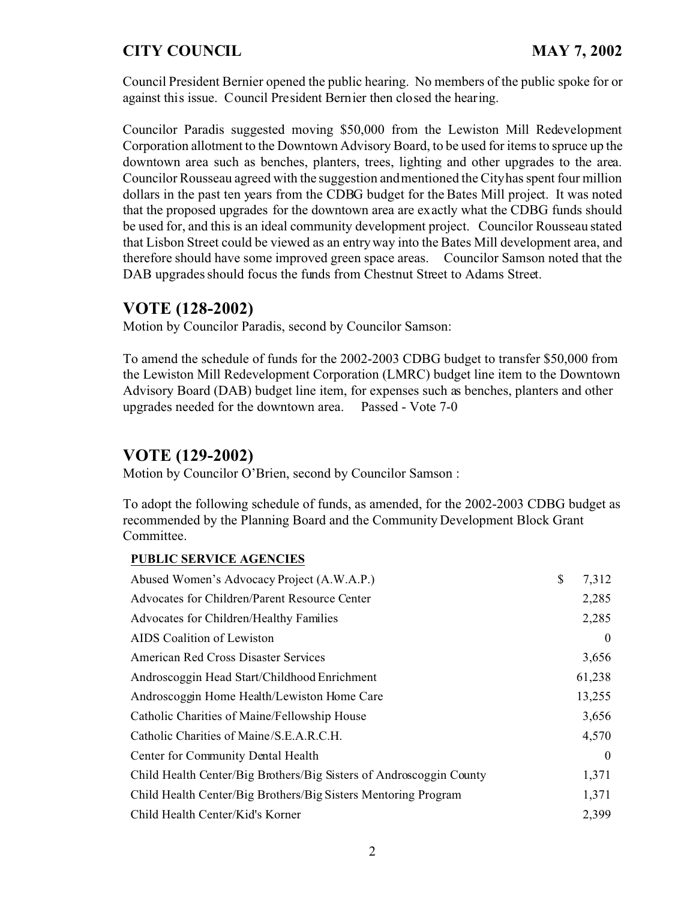Council President Bernier opened the public hearing. No members of the public spoke for or against this issue. Council President Bernier then closed the hearing.

Councilor Paradis suggested moving \$50,000 from the Lewiston Mill Redevelopment Corporation allotment to the Downtown Advisory Board, to be used for items to spruce up the downtown area such as benches, planters, trees, lighting and other upgrades to the area. Councilor Rousseau agreed with the suggestion and mentioned the City has spent four million dollars in the past ten years from the CDBG budget for the Bates Mill project. It was noted that the proposed upgrades for the downtown area are exactly what the CDBG funds should be used for, and this is an ideal community development project. Councilor Rousseau stated that Lisbon Street could be viewed as an entry way into the Bates Mill development area, and therefore should have some improved green space areas. Councilor Samson noted that the DAB upgrades should focus the funds from Chestnut Street to Adams Street.

## **VOTE (128-2002)**

Motion by Councilor Paradis, second by Councilor Samson:

To amend the schedule of funds for the 2002-2003 CDBG budget to transfer \$50,000 from the Lewiston Mill Redevelopment Corporation (LMRC) budget line item to the Downtown Advisory Board (DAB) budget line item, for expenses such as benches, planters and other upgrades needed for the downtown area. Passed - Vote 7-0

## **VOTE (129-2002)**

Motion by Councilor O'Brien, second by Councilor Samson :

To adopt the following schedule of funds, as amended, for the 2002-2003 CDBG budget as recommended by the Planning Board and the Community Development Block Grant Committee.

#### **PUBLIC SERVICE AGENCIES**

| Abused Women's Advocacy Project (A.W.A.P.)                          | \$<br>7,312 |
|---------------------------------------------------------------------|-------------|
| Advocates for Children/Parent Resource Center                       | 2,285       |
| Advocates for Children/Healthy Families                             | 2,285       |
| AIDS Coalition of Lewiston                                          | $\theta$    |
| American Red Cross Disaster Services                                | 3,656       |
| Androscoggin Head Start/Childhood Enrichment                        | 61,238      |
| Androscoggin Home Health/Lewiston Home Care                         | 13,255      |
| Catholic Charities of Maine/Fellowship House                        | 3,656       |
| Catholic Charities of Maine/S.E.A.R.C.H.                            | 4,570       |
| Center for Community Dental Health                                  | $\theta$    |
| Child Health Center/Big Brothers/Big Sisters of Androscoggin County | 1,371       |
| Child Health Center/Big Brothers/Big Sisters Mentoring Program      | 1,371       |
| Child Health Center/Kid's Korner                                    | 2,399       |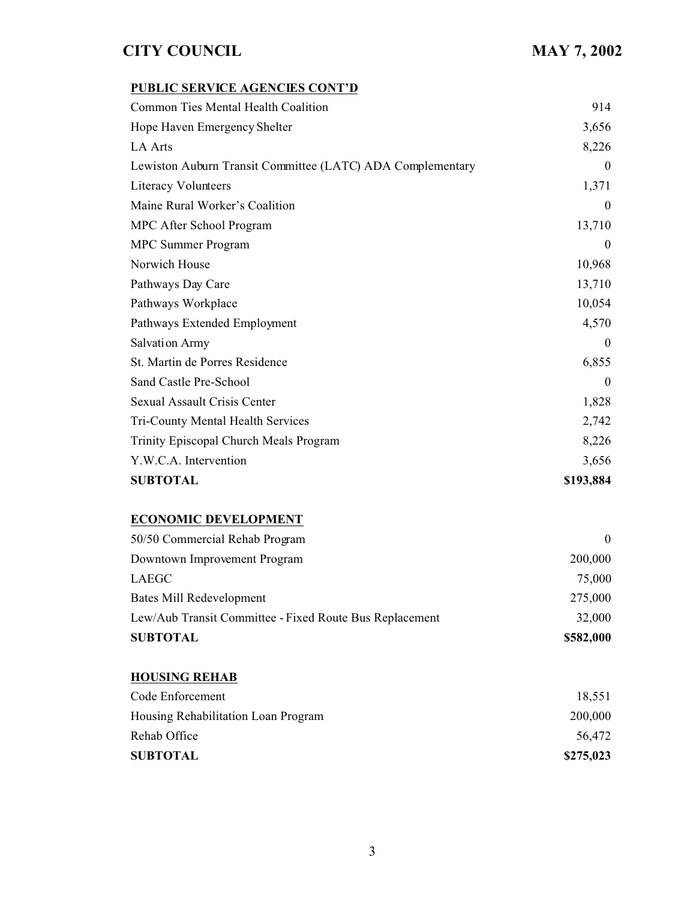## **PUBLIC SERVICE AGENCIES CONT'D**

| Common Ties Mental Health Coalition                        | 914              |
|------------------------------------------------------------|------------------|
| Hope Haven Emergency Shelter                               | 3,656            |
| LA Arts                                                    | 8,226            |
| Lewiston Auburn Transit Committee (LATC) ADA Complementary | $\boldsymbol{0}$ |
| <b>Literacy Volunteers</b>                                 | 1,371            |
| Maine Rural Worker's Coalition                             | $\boldsymbol{0}$ |
| MPC After School Program                                   | 13,710           |
| <b>MPC</b> Summer Program                                  | $\boldsymbol{0}$ |
| Norwich House                                              | 10,968           |
| Pathways Day Care                                          | 13,710           |
| Pathways Workplace                                         | 10,054           |
| Pathways Extended Employment                               | 4,570            |
| <b>Salvation Army</b>                                      | $\boldsymbol{0}$ |
| St. Martin de Porres Residence                             | 6,855            |
| Sand Castle Pre-School                                     | $\theta$         |
| Sexual Assault Crisis Center                               | 1,828            |
| Tri-County Mental Health Services                          | 2,742            |
| Trinity Episcopal Church Meals Program                     | 8,226            |
| Y.W.C.A. Intervention                                      | 3,656            |
| <b>SUBTOTAL</b>                                            | \$193,884        |

## **ECONOMIC DEVELOPMENT**

| <b>SUBTOTAL</b>                                         | \$582,000 |
|---------------------------------------------------------|-----------|
| Lew/Aub Transit Committee - Fixed Route Bus Replacement | 32,000    |
| Bates Mill Redevelopment                                | 275,000   |
| LAEGC                                                   | 75,000    |
| Downtown Improvement Program                            | 200,000   |
| 50/50 Commercial Rehab Program                          |           |

| <b>HOUSING REHAB</b>                |           |
|-------------------------------------|-----------|
| Code Enforcement                    | 18,551    |
| Housing Rehabilitation Loan Program | 200,000   |
| Rehab Office                        | 56,472    |
| <b>SUBTOTAL</b>                     | \$275,023 |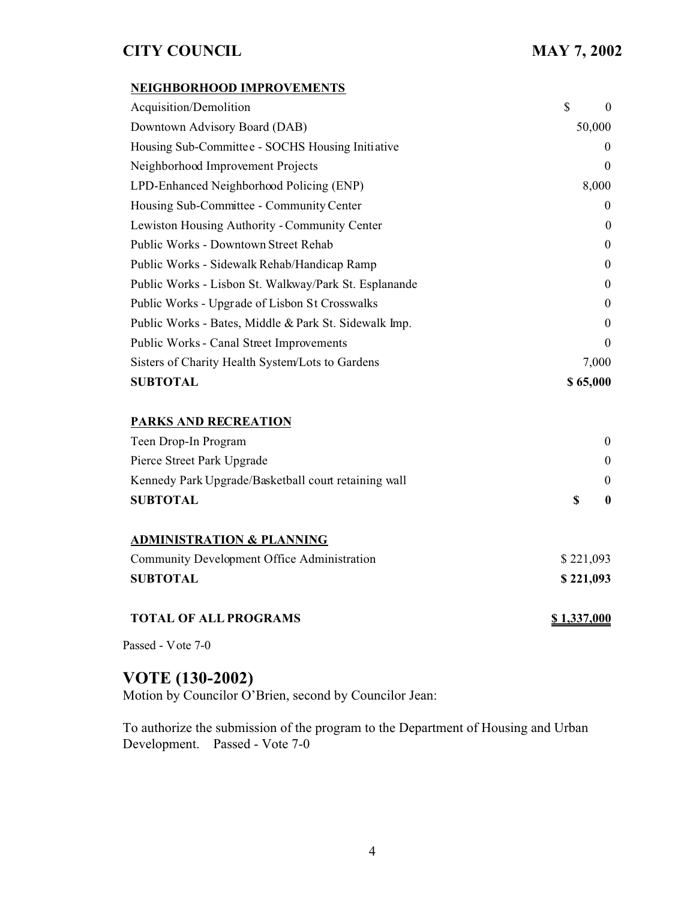#### **NEIGHBORHOOD IMPROVEMENTS**

| Acquisition/Demolition                                | \$        | $\theta$         |
|-------------------------------------------------------|-----------|------------------|
| Downtown Advisory Board (DAB)                         | 50,000    |                  |
| Housing Sub-Committee - SOCHS Housing Initiative      |           | $\theta$         |
| Neighborhood Improvement Projects                     |           | $\theta$         |
| LPD-Enhanced Neighborhood Policing (ENP)              |           | 8,000            |
| Housing Sub-Committee - Community Center              |           | $\boldsymbol{0}$ |
| Lewiston Housing Authority - Community Center         |           | $\overline{0}$   |
| Public Works - Downtown Street Rehab                  |           | $\boldsymbol{0}$ |
| Public Works - Sidewalk Rehab/Handicap Ramp           |           | $\boldsymbol{0}$ |
| Public Works - Lisbon St. Walkway/Park St. Esplanande |           | $\boldsymbol{0}$ |
| Public Works - Upgrade of Lisbon St Crosswalks        |           | $\boldsymbol{0}$ |
| Public Works - Bates, Middle & Park St. Sidewalk Imp. |           | $\overline{0}$   |
| Public Works - Canal Street Improvements              |           | $\Omega$         |
| Sisters of Charity Health System/Lots to Gardens      |           | 7,000            |
| <b>SUBTOTAL</b>                                       | \$65,000  |                  |
| PARKS AND RECREATION                                  |           |                  |
| Teen Drop-In Program                                  |           | $\mathbf{0}$     |
| Pierce Street Park Upgrade                            |           | $\mathbf{0}$     |
| Kennedy Park Upgrade/Basketball court retaining wall  |           | $\mathbf{0}$     |
| <b>SUBTOTAL</b>                                       | \$        | $\bf{0}$         |
| <b>ADMINISTRATION &amp; PLANNING</b>                  |           |                  |
| Community Development Office Administration           | \$221,093 |                  |
| <b>SUBTOTAL</b>                                       | \$221,093 |                  |

#### **TOTAL OF ALL PROGRAMS \$ 1,337,000**

Passed - Vote 7-0

# **VOTE (130-2002)**

Motion by Councilor O'Brien, second by Councilor Jean:

To authorize the submission of the program to the Department of Housing and Urban Development. Passed - Vote 7-0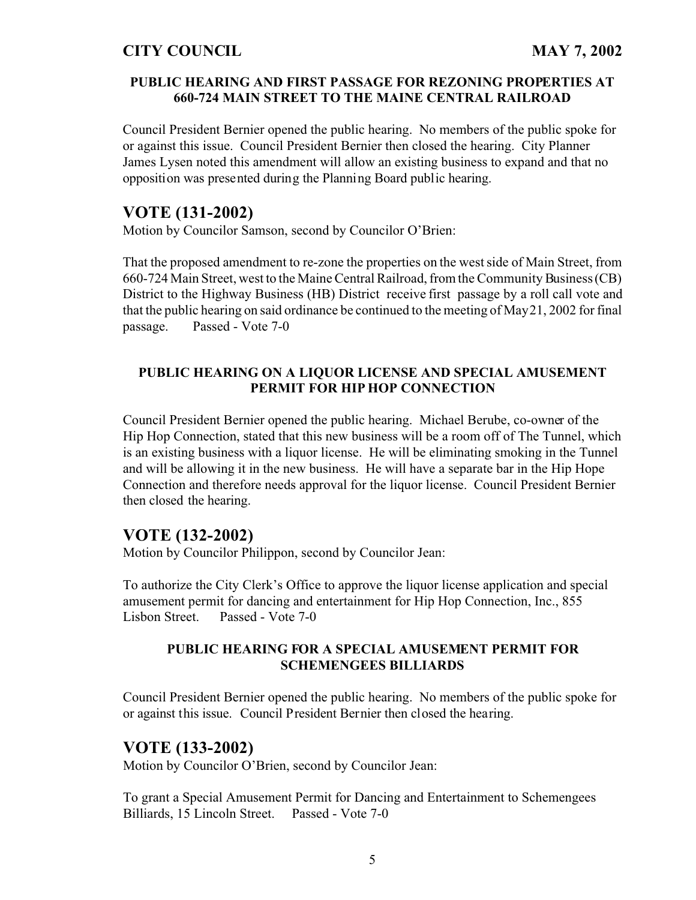### **PUBLIC HEARING AND FIRST PASSAGE FOR REZONING PROPERTIES AT 660-724 MAIN STREET TO THE MAINE CENTRAL RAILROAD**

Council President Bernier opened the public hearing. No members of the public spoke for or against this issue. Council President Bernier then closed the hearing. City Planner James Lysen noted this amendment will allow an existing business to expand and that no opposition was presented during the Planning Board public hearing.

## **VOTE (131-2002)**

Motion by Councilor Samson, second by Councilor O'Brien:

That the proposed amendment to re-zone the properties on the west side of Main Street, from 660-724 Main Street, west to the Maine Central Railroad, from the Community Business (CB) District to the Highway Business (HB) District receive first passage by a roll call vote and that the public hearing on said ordinance be continued to the meeting of May 21, 2002 for final passage. Passed - Vote 7-0

### **PUBLIC HEARING ON A LIQUOR LICENSE AND SPECIAL AMUSEMENT PERMIT FOR HIP HOP CONNECTION**

Council President Bernier opened the public hearing. Michael Berube, co-owner of the Hip Hop Connection, stated that this new business will be a room off of The Tunnel, which is an existing business with a liquor license. He will be eliminating smoking in the Tunnel and will be allowing it in the new business. He will have a separate bar in the Hip Hope Connection and therefore needs approval for the liquor license. Council President Bernier then closed the hearing.

## **VOTE (132-2002)**

Motion by Councilor Philippon, second by Councilor Jean:

To authorize the City Clerk's Office to approve the liquor license application and special amusement permit for dancing and entertainment for Hip Hop Connection, Inc., 855 Lisbon Street. Passed - Vote 7-0

### **PUBLIC HEARING FOR A SPECIAL AMUSEMENT PERMIT FOR SCHEMENGEES BILLIARDS**

Council President Bernier opened the public hearing. No members of the public spoke for or against this issue. Council President Bernier then closed the hearing.

### **VOTE (133-2002)**

Motion by Councilor O'Brien, second by Councilor Jean:

To grant a Special Amusement Permit for Dancing and Entertainment to Schemengees Billiards, 15 Lincoln Street. Passed - Vote 7-0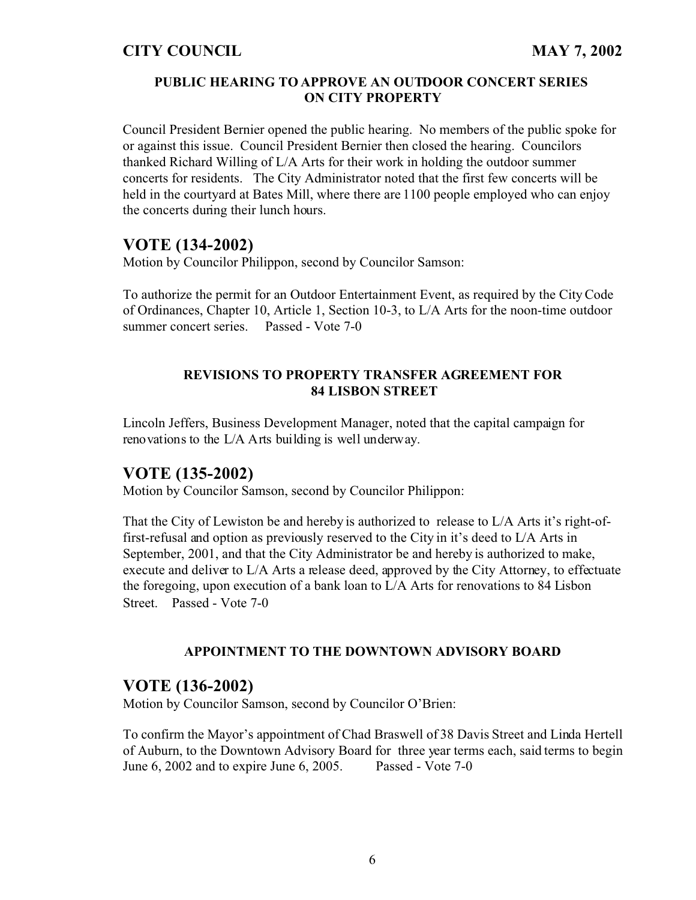### **PUBLIC HEARING TO APPROVE AN OUTDOOR CONCERT SERIES ON CITY PROPERTY**

Council President Bernier opened the public hearing. No members of the public spoke for or against this issue. Council President Bernier then closed the hearing. Councilors thanked Richard Willing of L/A Arts for their work in holding the outdoor summer concerts for residents. The City Administrator noted that the first few concerts will be held in the courtyard at Bates Mill, where there are 1100 people employed who can enjoy the concerts during their lunch hours.

# **VOTE (134-2002)**

Motion by Councilor Philippon, second by Councilor Samson:

To authorize the permit for an Outdoor Entertainment Event, as required by the City Code of Ordinances, Chapter 10, Article 1, Section 10-3, to L/A Arts for the noon-time outdoor summer concert series. Passed - Vote 7-0

### **REVISIONS TO PROPERTY TRANSFER AGREEMENT FOR 84 LISBON STREET**

Lincoln Jeffers, Business Development Manager, noted that the capital campaign for renovations to the L/A Arts building is well underway.

## **VOTE (135-2002)**

Motion by Councilor Samson, second by Councilor Philippon:

That the City of Lewiston be and hereby is authorized to release to L/A Arts it's right-offirst-refusal and option as previously reserved to the City in it's deed to L/A Arts in September, 2001, and that the City Administrator be and hereby is authorized to make, execute and deliver to L/A Arts a release deed, approved by the City Attorney, to effectuate the foregoing, upon execution of a bank loan to L/A Arts for renovations to 84 Lisbon Street. Passed - Vote 7-0

### **APPOINTMENT TO THE DOWNTOWN ADVISORY BOARD**

## **VOTE (136-2002)**

Motion by Councilor Samson, second by Councilor O'Brien:

To confirm the Mayor's appointment of Chad Braswell of 38 Davis Street and Linda Hertell of Auburn, to the Downtown Advisory Board for three year terms each, said terms to begin June 6, 2002 and to expire June 6, 2005. Passed - Vote 7-0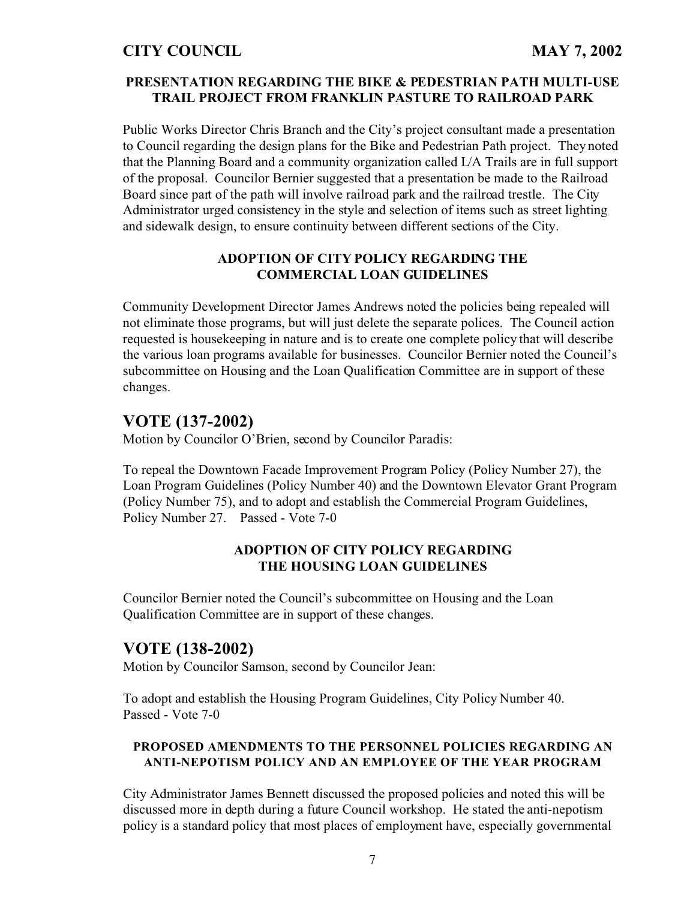### **PRESENTATION REGARDING THE BIKE & PEDESTRIAN PATH MULTI-USE TRAIL PROJECT FROM FRANKLIN PASTURE TO RAILROAD PARK**

Public Works Director Chris Branch and the City's project consultant made a presentation to Council regarding the design plans for the Bike and Pedestrian Path project. They noted that the Planning Board and a community organization called L/A Trails are in full support of the proposal. Councilor Bernier suggested that a presentation be made to the Railroad Board since part of the path will involve railroad park and the railroad trestle. The City Administrator urged consistency in the style and selection of items such as street lighting and sidewalk design, to ensure continuity between different sections of the City.

### **ADOPTION OF CITY POLICY REGARDING THE COMMERCIAL LOAN GUIDELINES**

Community Development Director James Andrews noted the policies being repealed will not eliminate those programs, but will just delete the separate polices. The Council action requested is housekeeping in nature and is to create one complete policy that will describe the various loan programs available for businesses. Councilor Bernier noted the Council's subcommittee on Housing and the Loan Qualification Committee are in support of these changes.

## **VOTE (137-2002)**

Motion by Councilor O'Brien, second by Councilor Paradis:

To repeal the Downtown Facade Improvement Program Policy (Policy Number 27), the Loan Program Guidelines (Policy Number 40) and the Downtown Elevator Grant Program (Policy Number 75), and to adopt and establish the Commercial Program Guidelines, Policy Number 27. Passed - Vote 7-0

### **ADOPTION OF CITY POLICY REGARDING THE HOUSING LOAN GUIDELINES**

Councilor Bernier noted the Council's subcommittee on Housing and the Loan Qualification Committee are in support of these changes.

# **VOTE (138-2002)**

Motion by Councilor Samson, second by Councilor Jean:

To adopt and establish the Housing Program Guidelines, City Policy Number 40. Passed - Vote 7-0

### **PROPOSED AMENDMENTS TO THE PERSONNEL POLICIES REGARDING AN ANTI-NEPOTISM POLICY AND AN EMPLOYEE OF THE YEAR PROGRAM**

City Administrator James Bennett discussed the proposed policies and noted this will be discussed more in depth during a future Council workshop. He stated the anti-nepotism policy is a standard policy that most places of employment have, especially governmental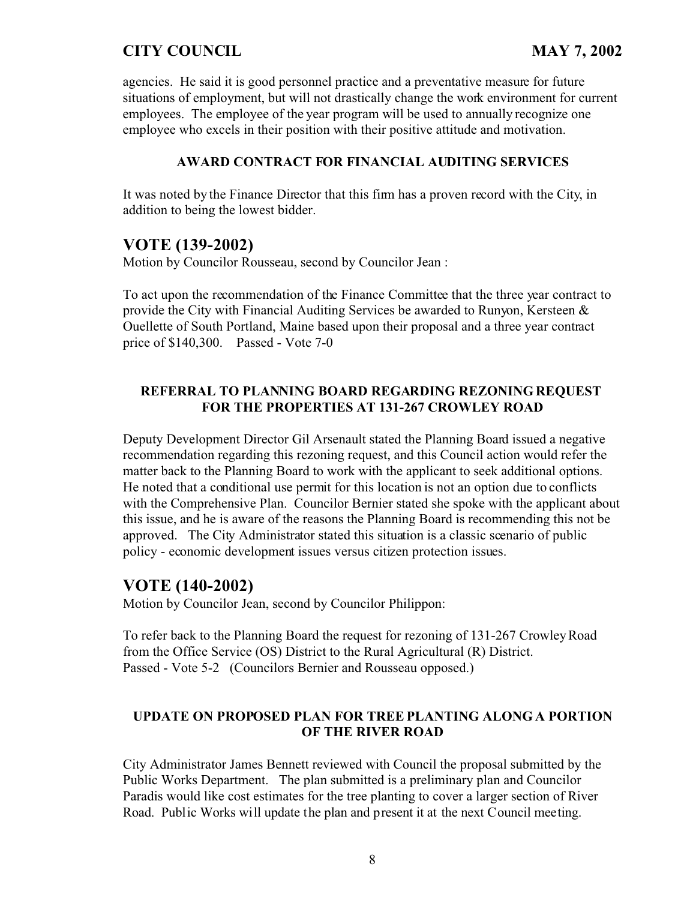agencies. He said it is good personnel practice and a preventative measure for future situations of employment, but will not drastically change the work environment for current employees. The employee of the year program will be used to annually recognize one employee who excels in their position with their positive attitude and motivation.

### **AWARD CONTRACT FOR FINANCIAL AUDITING SERVICES**

It was noted by the Finance Director that this firm has a proven record with the City, in addition to being the lowest bidder.

## **VOTE (139-2002)**

Motion by Councilor Rousseau, second by Councilor Jean :

To act upon the recommendation of the Finance Committee that the three year contract to provide the City with Financial Auditing Services be awarded to Runyon, Kersteen  $\&$ Ouellette of South Portland, Maine based upon their proposal and a three year contract price of \$140,300. Passed - Vote 7-0

### **REFERRAL TO PLANNING BOARD REGARDING REZONING REQUEST FOR THE PROPERTIES AT 131-267 CROWLEY ROAD**

Deputy Development Director Gil Arsenault stated the Planning Board issued a negative recommendation regarding this rezoning request, and this Council action would refer the matter back to the Planning Board to work with the applicant to seek additional options. He noted that a conditional use permit for this location is not an option due to conflicts with the Comprehensive Plan. Councilor Bernier stated she spoke with the applicant about this issue, and he is aware of the reasons the Planning Board is recommending this not be approved. The City Administrator stated this situation is a classic scenario of public policy - economic development issues versus citizen protection issues.

### **VOTE (140-2002)**

Motion by Councilor Jean, second by Councilor Philippon:

To refer back to the Planning Board the request for rezoning of 131-267 Crowley Road from the Office Service (OS) District to the Rural Agricultural (R) District. Passed - Vote 5-2 (Councilors Bernier and Rousseau opposed.)

### **UPDATE ON PROPOSED PLAN FOR TREE PLANTING ALONG A PORTION OF THE RIVER ROAD**

City Administrator James Bennett reviewed with Council the proposal submitted by the Public Works Department. The plan submitted is a preliminary plan and Councilor Paradis would like cost estimates for the tree planting to cover a larger section of River Road. Public Works will update the plan and present it at the next Council meeting.